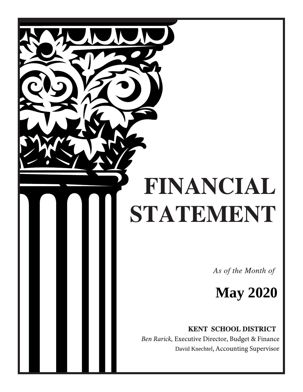# FINANCIAL STATEMENT

As of the Month of

**May 2020** 

**KENT SCHOOL DISTRICT** 

 *Ben Rarick,* Executive Director, Budget & Finance David Knechtel, Accounting Supervisor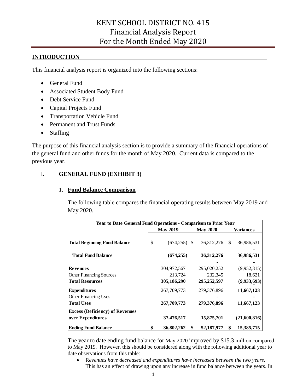# **INTRODUCTION**

This financial analysis report is organized into the following sections:

- General Fund
- Associated Student Body Fund
- Debt Service Fund
- Capital Projects Fund
- Transportation Vehicle Fund
- Permanent and Trust Funds
- Staffing

The purpose of this financial analysis section is to provide a summary of the financial operations of the general fund and other funds for the month of May 2020. Current data is compared to the previous year.

# I. **GENERAL FUND (EXHIBIT 3)**

## 1. **Fund Balance Comparison**

The following table compares the financial operating results between May 2019 and May 2020.

|                                        | Year to Date General Fund Operations - Comparison to Prior Year |                 |    |                 |    |              |  |  |
|----------------------------------------|-----------------------------------------------------------------|-----------------|----|-----------------|----|--------------|--|--|
|                                        |                                                                 | <b>May 2019</b> |    | <b>May 2020</b> |    | Variances    |  |  |
| <b>Total Beginning Fund Balance</b>    | \$                                                              | $(674, 255)$ \$ |    | 36, 312, 276    | \$ | 36,986,531   |  |  |
| <b>Total Fund Balance</b>              |                                                                 | (674, 255)      |    | 36, 312, 276    |    | 36,986,531   |  |  |
| <b>Revenues</b>                        |                                                                 | 304,972,567     |    | 295,020,252     |    | (9,952,315)  |  |  |
| <b>Other Financing Sources</b>         |                                                                 | 213,724         |    | 232,345         |    | 18,621       |  |  |
| <b>Total Resources</b>                 |                                                                 | 305,186,290     |    | 295,252,597     |    | (9,933,693)  |  |  |
| <b>Expenditures</b>                    |                                                                 | 267,709,773     |    | 279,376,896     |    | 11,667,123   |  |  |
| Other Financing Uses                   |                                                                 |                 |    |                 |    |              |  |  |
| <b>Total Uses</b>                      |                                                                 | 267,709,773     |    | 279,376,896     |    | 11,667,123   |  |  |
| <b>Excess (Deficiency) of Revenues</b> |                                                                 |                 |    |                 |    |              |  |  |
| over Expenditures                      |                                                                 | 37,476,517      |    | 15,875,701      |    | (21,600,816) |  |  |
| <b>Ending Fund Balance</b>             | \$                                                              | 36,802,262      | \$ | 52,187,977      | \$ | 15,385,715   |  |  |

The year to date ending fund balance for May 2020 improved by \$15.3 million compared to May 2019. However, this should be considered along with the following additional year to date observations from this table:

• R*evenues have decreased and expenditures have increased between the two years*. This has an effect of drawing upon any increase in fund balance between the years. In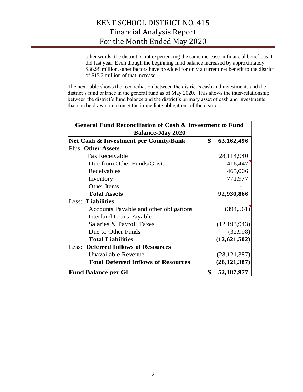other words, the district is not experiencing the same increase in financial benefit as it did last year. Even though the beginning fund balance increased by approximately \$36.98 million, other factors have provided for only a current net benefit to the district of \$15.3 million of that increase.

The next table shows the reconciliation between the district's cash and investments and the district's fund balance in the general fund as of May 2020. This shows the inter-relationship between the district's fund balance and the district's primary asset of cash and investments that can be drawn on to meet the immediate obligations of the district.

| <b>General Fund Reconciliation of Cash &amp; Investment to Fund</b> |    |                |  |  |  |  |  |  |  |
|---------------------------------------------------------------------|----|----------------|--|--|--|--|--|--|--|
| <b>Balance-May 2020</b>                                             |    |                |  |  |  |  |  |  |  |
| Net Cash & Investment per County/Bank                               | \$ | 63,162,496     |  |  |  |  |  |  |  |
| <b>Plus: Other Assets</b>                                           |    |                |  |  |  |  |  |  |  |
| <b>Tax Receivable</b>                                               |    | 28,114,940     |  |  |  |  |  |  |  |
| Due from Other Funds/Govt.                                          |    | 416,447        |  |  |  |  |  |  |  |
| Receivables                                                         |    | 465,006        |  |  |  |  |  |  |  |
| Inventory                                                           |    | 771,977        |  |  |  |  |  |  |  |
| Other Items                                                         |    |                |  |  |  |  |  |  |  |
| <b>Total Assets</b>                                                 |    | 92,930,866     |  |  |  |  |  |  |  |
| Less: Liabilities                                                   |    |                |  |  |  |  |  |  |  |
| Accounts Payable and other obligations                              |    | (394, 561)     |  |  |  |  |  |  |  |
| Interfund Loans Payable                                             |    |                |  |  |  |  |  |  |  |
| Salaries & Payroll Taxes                                            |    | (12, 193, 943) |  |  |  |  |  |  |  |
| Due to Other Funds                                                  |    | (32,998)       |  |  |  |  |  |  |  |
| <b>Total Liabilities</b>                                            |    | (12, 621, 502) |  |  |  |  |  |  |  |
| <b>Less: Deferred Inflows of Resources</b>                          |    |                |  |  |  |  |  |  |  |
| Unavailable Revenue                                                 |    | (28, 121, 387) |  |  |  |  |  |  |  |
| <b>Total Deferred Inflows of Resources</b>                          |    | (28, 121, 387) |  |  |  |  |  |  |  |
| <b>Fund Balance per GL</b>                                          | \$ | 52,187,977     |  |  |  |  |  |  |  |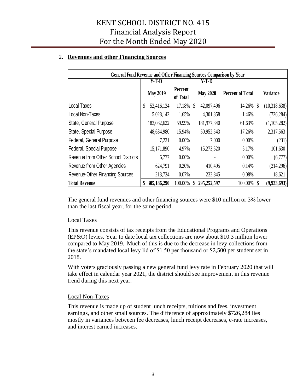# 2. **Revenues and other Financing Sources**

| <b>General Fund Revenue and Other Financing Sources Comparison by Year</b> |               |                 |                     |               |                 |                         |              |                 |
|----------------------------------------------------------------------------|---------------|-----------------|---------------------|---------------|-----------------|-------------------------|--------------|-----------------|
|                                                                            |               | $Y-T-D$         |                     |               | Y-T-D           |                         |              |                 |
|                                                                            |               | <b>May 2019</b> | Percent<br>of Total |               | <b>May 2020</b> | <b>Percent of Total</b> |              | <b>Variance</b> |
| <b>Local Taxes</b>                                                         | $\mathcal{S}$ | 52,416,134      | 17.18%              | $\mathcal{S}$ | 42,097,496      | 14.26%                  | <sup>S</sup> | (10,318,638)    |
| Local Non-Taxes                                                            |               | 5,028,142       | 1.65%               |               | 4,301,858       | 1.46%                   |              | (726, 284)      |
| State, General Purpose                                                     |               | 183,082,622     | 59.99%              |               | 181,977,340     | 61.63%                  |              | (1,105,282)     |
| State, Special Purpose                                                     |               | 48,634,980      | 15.94%              |               | 50,952,543      | 17.26%                  |              | 2,317,563       |
| Federal, General Purpose                                                   |               | 7,231           | 0.00%               |               | 7,000           | $0.00\%$                |              | (231)           |
| Federal, Special Purpose                                                   |               | 15,171,890      | 4.97%               |               | 15,273,520      | 5.17%                   |              | 101,630         |
| <b>Revenue from Other School Districts</b>                                 |               | 6,777           | 0.00%               |               |                 | $0.00\%$                |              | (6,777)         |
| Revenue from Other Agencies                                                |               | 624,791         | 0.20%               |               | 410,495         | 0.14%                   |              | (214,296)       |
| <b>Revenue-Other Financing Sources</b>                                     |               | 213,724         | 0.07%               |               | 232,345         | 0.08%                   |              | 18,621          |
| <b>Total Revenue</b>                                                       |               | 305,186,290     | 100.00%             |               | 295,252,597     | 100.00%                 |              | (9,933,693)     |

The general fund revenues and other financing sources were \$10 million or 3% lower than the last fiscal year, for the same period.

## Local Taxes

This revenue consists of tax receipts from the Educational Programs and Operations (EP&O) levies. Year to date local tax collections are now about \$10.3 million lower compared to May 2019. Much of this is due to the decrease in levy collections from the state's mandated local levy lid of \$1.50 per thousand or \$2,500 per student set in 2018.

With voters graciously passing a new general fund levy rate in February 2020 that will take effect in calendar year 2021, the district should see improvement in this revenue trend during this next year.

## Local Non-Taxes

This revenue is made up of student lunch receipts, tuitions and fees, investment earnings, and other small sources. The difference of approximately \$726,284 lies mostly in variances between fee decreases, lunch receipt decreases, e-rate increases, and interest earned increases.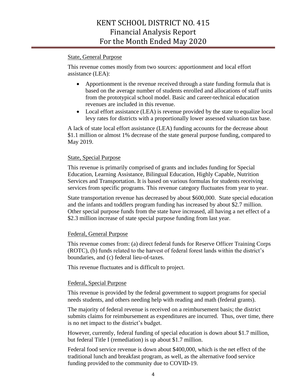## State, General Purpose

This revenue comes mostly from two sources: apportionment and local effort assistance (LEA):

- Apportionment is the revenue received through a state funding formula that is based on the average number of students enrolled and allocations of staff units from the prototypical school model. Basic and career-technical education revenues are included in this revenue.
- Local effort assistance (LEA) is revenue provided by the state to equalize local levy rates for districts with a proportionally lower assessed valuation tax base.

A lack of state local effort assistance (LEA) funding accounts for the decrease about \$1.1 million or almost 1% decrease of the state general purpose funding, compared to May 2019.

## State, Special Purpose

This revenue is primarily comprised of grants and includes funding for Special Education, Learning Assistance, Bilingual Education, Highly Capable, Nutrition Services and Transportation. It is based on various formulas for students receiving services from specific programs. This revenue category fluctuates from year to year.

State transportation revenue has decreased by about \$600,000. State special education and the infants and toddlers program funding has increased by about \$2.7 million. Other special purpose funds from the state have increased, all having a net effect of a \$2.3 million increase of state special purpose funding from last year.

#### Federal, General Purpose

This revenue comes from: (a) direct federal funds for Reserve Officer Training Corps (ROTC), (b) funds related to the harvest of federal forest lands within the district's boundaries, and (c) federal lieu-of-taxes.

This revenue fluctuates and is difficult to project.

#### Federal, Special Purpose

This revenue is provided by the federal government to support programs for special needs students, and others needing help with reading and math (federal grants).

The majority of federal revenue is received on a reimbursement basis; the district submits claims for reimbursement as expenditures are incurred. Thus, over time, there is no net impact to the district's budget.

However, currently, federal funding of special education is down about \$1.7 million, but federal Title I (remediation) is up about \$1.7 million.

Federal food service revenue is down about \$400,000, which is the net effect of the traditional lunch and breakfast program, as well, as the alternative food service funding provided to the community due to COVID-19.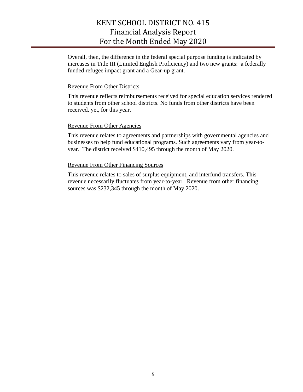Overall, then, the difference in the federal special purpose funding is indicated by increases in Title III (Limited English Proficiency) and two new grants: a federally funded refugee impact grant and a Gear-up grant.

#### Revenue From Other Districts

This revenue reflects reimbursements received for special education services rendered to students from other school districts. No funds from other districts have been received, yet, for this year.

#### Revenue From Other Agencies

This revenue relates to agreements and partnerships with governmental agencies and businesses to help fund educational programs. Such agreements vary from year-toyear. The district received \$410,495 through the month of May 2020.

## Revenue From Other Financing Sources

This revenue relates to sales of surplus equipment, and interfund transfers. This revenue necessarily fluctuates from year-to-year. Revenue from other financing sources was \$232,345 through the month of May 2020.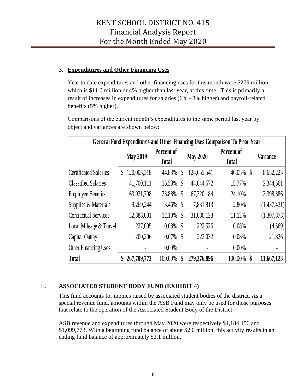# 3. **Expenditures and Other Financing Uses**

Year to date expenditures and other financing uses for this month were \$279 million, which is \$11.6 million or 4% higher than last year, at this time. This is primarily a result of increases in expenditures for salaries (6% - 8% higher) and payroll-related benefits (5% higher).

Comparisons of the current month's expenditures to the same period last year by object and variances are shown below:

|                          | General Fund Expenditures and Other Financing Uses Comparison To Prior Year |                 |                            |                           |                 |                            |                 |  |  |  |  |  |
|--------------------------|-----------------------------------------------------------------------------|-----------------|----------------------------|---------------------------|-----------------|----------------------------|-----------------|--|--|--|--|--|
|                          |                                                                             | <b>May 2019</b> | Percent of<br><b>Total</b> |                           | <b>May 2020</b> | Percent of<br><b>Total</b> | <b>Variance</b> |  |  |  |  |  |
| Certificated Salaries    | \$                                                                          | 120,003,318     | 44.83%                     | $\boldsymbol{\mathsf{S}}$ | 128,655,541     | 46.05% \$                  | 8,652,223       |  |  |  |  |  |
| Classified Salaries      |                                                                             | 41,700,111      | 15.58%                     | $\boldsymbol{\S}$         | 44,044,672      | 15.77%                     | 2,344,561       |  |  |  |  |  |
| <b>Employee Benefits</b> |                                                                             | 63,921,798      | 23.88%                     | $\boldsymbol{\mathsf{S}}$ | 67,320,184      | 24.10%                     | 3,398,386       |  |  |  |  |  |
| Supplies & Materials     |                                                                             | 9,269,244       | 3.46%                      | $\boldsymbol{\S}$         | 7,831,813       | 2.80%                      | (1,437,431)     |  |  |  |  |  |
| Contractual Services     |                                                                             | 32,388,001      | 12.10%                     | \$                        | 31,080,128      | 11.12%                     | (1,307,873)     |  |  |  |  |  |
| Local Mileage & Travel   |                                                                             | 227,095         | $0.08\%$ \$                |                           | 222,526         | 0.08%                      | (4,569)         |  |  |  |  |  |
| Capital Outlay           |                                                                             | 200,206         | $0.07\%$                   | <sup>S</sup>              | 222,032         | 0.08%                      | 21,826          |  |  |  |  |  |
| Other Financing Uses     |                                                                             |                 | $0.00\%$                   |                           |                 | $0.00\%$                   |                 |  |  |  |  |  |
| <b>Total</b>             |                                                                             | 267,709,773     | 100.00%                    | \$                        | 279,376,896     | 100.00%                    | 11,667,123      |  |  |  |  |  |

# II. **ASSOCIATED STUDENT BODY FUND (EXHIBIT 4)**

This fund accounts for monies raised by associated student bodies of the district. As a special revenue fund, amounts within the ASB Fund may only be used for those purposes that relate to the operation of the Associated Student Body of the District.

ASB revenue and expenditures through May 2020 were respectively \$1,184,456 and \$1,099,773. With a beginning fund balance of about \$2.0 million, this activity results in an ending fund balance of approximately \$2.1 million.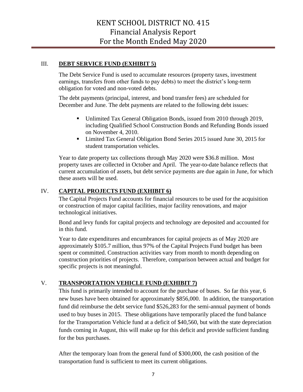# III. **DEBT SERVICE FUND (EXHIBIT 5)**

The Debt Service Fund is used to accumulate resources (property taxes, investment earnings, transfers from other funds to pay debts) to meet the district's long-term obligation for voted and non-voted debts.

The debt payments (principal, interest, and bond transfer fees) are scheduled for December and June. The debt payments are related to the following debt issues:

- Unlimited Tax General Obligation Bonds, issued from 2010 through 2019, including Qualified School Construction Bonds and Refunding Bonds issued on November 4, 2010.
- Limited Tax General Obligation Bond Series 2015 issued June 30, 2015 for student transportation vehicles.

Year to date property tax collections through May 2020 were \$36.8 million. Most property taxes are collected in October and April. The year-to-date balance reflects that current accumulation of assets, but debt service payments are due again in June, for which these assets will be used.

# IV. **CAPITAL PROJECTS FUND (EXHIBIT 6)**

The Capital Projects Fund accounts for financial resources to be used for the acquisition or construction of major capital facilities, major facility renovations, and major technological initiatives.

Bond and levy funds for capital projects and technology are deposited and accounted for in this fund.

Year to date expenditures and encumbrances for capital projects as of May 2020 are approximately \$105.7 million, thus 97% of the Capital Projects Fund budget has been spent or committed. Construction activities vary from month to month depending on construction priorities of projects. Therefore, comparison between actual and budget for specific projects is not meaningful.

# V. **TRANSPORTATION VEHICLE FUND (EXHIBIT 7)**

This fund is primarily intended to account for the purchase of buses. So far this year, 6 new buses have been obtained for approximately \$856,000. In addition, the transportation fund did reimburse the debt service fund \$526,283 for the semi-annual payment of bonds used to buy buses in 2015. These obligations have temporarily placed the fund balance for the Transportation Vehicle fund at a deficit of \$40,560, but with the state depreciation funds coming in August, this will make up for this deficit and provide sufficient funding for the bus purchases.

After the temporary loan from the general fund of \$300,000, the cash position of the transportation fund is sufficient to meet its current obligations.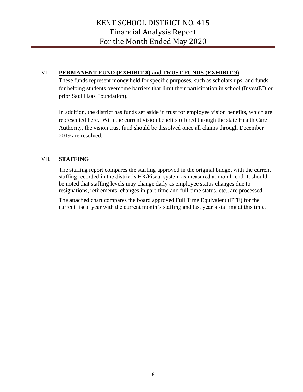## VI. **PERMANENT FUND (EXHIBIT 8) and TRUST FUNDS (EXHIBIT 9)**

These funds represent money held for specific purposes, such as scholarships, and funds for helping students overcome barriers that limit their participation in school (InvestED or prior Saul Haas Foundation).

In addition, the district has funds set aside in trust for employee vision benefits, which are represented here. With the current vision benefits offered through the state Health Care Authority, the vision trust fund should be dissolved once all claims through December 2019 are resolved.

# VII. **STAFFING**

The staffing report compares the staffing approved in the original budget with the current staffing recorded in the district's HR/Fiscal system as measured at month-end. It should be noted that staffing levels may change daily as employee status changes due to resignations, retirements, changes in part-time and full-time status, etc., are processed.

The attached chart compares the board approved Full Time Equivalent (FTE) for the current fiscal year with the current month's staffing and last year's staffing at this time.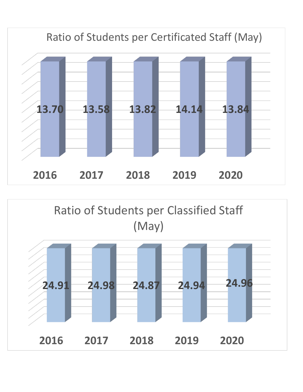

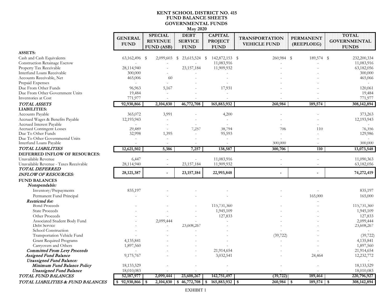#### **KENT SCHOOL DISTRICT NO. 415 FUND BALANCE SHEETS GOVERNMENTAL FUNDS May 2020**

|                                                      | <b>GENERAL</b><br><b>FUND</b> | <b>SPECIAL</b><br><b>REVENUE</b><br><b>FUND (ASB)</b> | <b>DEBT</b><br><b>SERVICE</b><br><b>FUND</b> | <b>CAPITAL</b><br><b>PROJECT</b><br><b>FUND</b> | <b>TRANSPORTATION</b><br><b>VEHICLE FUND</b> | <b>PERMANENT</b><br>(REEPLOEG) | <b>TOTAL</b><br><b>GOVERNMENTAL</b><br><b>FUNDS</b> |
|------------------------------------------------------|-------------------------------|-------------------------------------------------------|----------------------------------------------|-------------------------------------------------|----------------------------------------------|--------------------------------|-----------------------------------------------------|
| <b>ASSETS:</b>                                       |                               |                                                       |                                              |                                                 |                                              |                                |                                                     |
| Cash and Cash Equivalents                            | 63,162,496 \$                 | 2,099,603                                             | 23,615,524 \$<br>S                           | 142,872,153 \$                                  | 260,984 \$                                   | 189,574 \$                     | 232,200,334                                         |
| <b>Construction Retainage Escrow</b>                 |                               |                                                       |                                              | 11,083,916                                      |                                              |                                | 11,083,916                                          |
| Property Tax Receivable                              | 28,114,940                    |                                                       | 23,157,184                                   | 11,909,932                                      |                                              |                                | 63,182,056                                          |
| Interfund Loans Receivable                           | 300,000                       |                                                       |                                              |                                                 |                                              |                                | 300,000                                             |
| Accounts Receivable, Net                             | 465,006                       | 60                                                    |                                              |                                                 |                                              |                                | 465,066                                             |
| Prepaid Expenses                                     |                               |                                                       |                                              |                                                 |                                              |                                |                                                     |
| Due From Other Funds                                 | 96,963                        | 5,167                                                 |                                              | 17,931                                          |                                              |                                | 120,061                                             |
| Due From Other Government Units                      | 19,484                        |                                                       |                                              |                                                 |                                              |                                | 19,484                                              |
| Inventories at Cost                                  | 771,977                       |                                                       |                                              |                                                 |                                              |                                | 771,977                                             |
| TOTAL ASSETS                                         | 92,930,866                    | 2,104,830                                             | 46,772,708                                   | 165,883,932                                     | 260,984                                      | 189,574                        | 308, 142, 894                                       |
| <b>LIABILITIES:</b>                                  |                               |                                                       |                                              |                                                 |                                              |                                |                                                     |
|                                                      |                               |                                                       |                                              |                                                 |                                              |                                |                                                     |
| Accounts Payable<br>Accrued Wages & Benefits Payable | 365,072                       | 3,991                                                 |                                              | 4,200<br>$\overline{a}$                         |                                              |                                | 373,263                                             |
| Accrued Interest Payable                             | 12,193,943                    |                                                       |                                              |                                                 |                                              |                                | 12,193,943                                          |
| <b>Accrued Contingent Losses</b>                     | 29,489                        |                                                       | 7,257                                        | 38,794                                          | 706                                          | 110                            | 76,356                                              |
| Due To Other Funds                                   | 32,998                        | 1,395                                                 |                                              | 95,593                                          |                                              |                                | 129,986                                             |
| Due To Other Governmental Units                      |                               |                                                       |                                              |                                                 |                                              |                                |                                                     |
| Interfund Loans Payable                              |                               | $\overline{\phantom{a}}$                              |                                              |                                                 | 300,000                                      |                                | 300,000                                             |
| TOTAL LIABILITIES                                    | 12,621,502                    | 5,386                                                 | 7,257                                        | 138,587                                         | 300,706                                      | 110                            | 13,073,548                                          |
| DEFERRED INFLOW OF RESOURCES:                        |                               |                                                       |                                              |                                                 |                                              |                                |                                                     |
| Unavailable Revenue                                  | 6,447                         |                                                       |                                              | 11,083,916                                      |                                              |                                | 11,090,363                                          |
| Unavailable Revenue - Taxes Receivable               | 28,114,940                    |                                                       | 23, 157, 184                                 | 11,909,932                                      |                                              |                                | 63,182,056                                          |
| <b>TOTAL DEFERRED</b>                                |                               |                                                       |                                              |                                                 |                                              |                                |                                                     |
| <b>INFLOW OF RESOURCES:</b>                          | 28, 121, 387                  |                                                       | 23, 157, 184                                 | 22,993,848                                      |                                              |                                | 74,272,419                                          |
| <b>FUND BALANCES</b>                                 |                               |                                                       |                                              |                                                 |                                              |                                |                                                     |
| Nonspendable:                                        |                               |                                                       |                                              |                                                 |                                              |                                |                                                     |
| Inventory/Prepayments                                | 835,197                       |                                                       |                                              |                                                 |                                              |                                | 835,197                                             |
|                                                      |                               |                                                       |                                              |                                                 |                                              |                                |                                                     |
| Permanent Fund Principal                             |                               |                                                       |                                              |                                                 |                                              | 165,000                        | 165,000                                             |
| Restricted for:<br><b>Bond Proceeds</b>              |                               |                                                       |                                              |                                                 |                                              |                                |                                                     |
|                                                      |                               |                                                       |                                              | 115,731,360                                     |                                              |                                | 115,731,360                                         |
| <b>State Proceeds</b>                                |                               |                                                       |                                              | 1,945,109                                       |                                              |                                | 1,945,109                                           |
| Other Proceeds                                       |                               |                                                       |                                              | 127,833                                         |                                              |                                | 127,833                                             |
| Associated Student Body Fund<br>Debt Service         |                               | 2,099,444                                             |                                              |                                                 |                                              |                                | 2,099,444                                           |
|                                                      |                               |                                                       | 23,608,267                                   |                                                 |                                              |                                | 23,608,267                                          |
| School Construction                                  |                               |                                                       |                                              |                                                 |                                              |                                |                                                     |
| Transportation Vehicle Fund                          |                               |                                                       |                                              |                                                 | (39, 722)                                    |                                | (39, 722)                                           |
| Grant Required Programs                              | 4,135,841                     |                                                       |                                              |                                                 |                                              |                                | 4,135,841                                           |
| Carryovers and Others                                | 1,897,560                     |                                                       |                                              |                                                 |                                              |                                | 1,897,560                                           |
| <b>Committed From Levy Proceeds</b>                  |                               |                                                       |                                              | 21,914,654                                      |                                              |                                | 21,914,654                                          |
| Assigned Fund Balance                                | 9,175,767                     |                                                       |                                              | 3,032,541                                       |                                              | 24,464                         | 12,232,772                                          |
| <b>Unassigned Fund Balance:</b>                      |                               |                                                       |                                              |                                                 |                                              |                                |                                                     |
| Minimum Fund Balance Policy                          | 18, 133, 529                  |                                                       |                                              |                                                 |                                              |                                | 18, 133, 529                                        |
| <b>Unassigned Fund Balance</b>                       | 18,010,083                    |                                                       |                                              |                                                 |                                              |                                | 18,010,083                                          |
| TOTAL FUND BALANCES                                  | 52, 187, 977                  | 2,099,444                                             | 23,608,267                                   | 142,751,497                                     | (39, 722)                                    | 189,464                        | 220,796,927                                         |
| TOTAL LIABILITIES & FUND BALANCES                    | 92,930,866                    | \$                                                    | 2,104,830 \$46,772,708                       | $165,883,932$ \$<br>\$                          | 260,984                                      | $189,574$ \$<br>$\sqrt{3}$     | 308,142,894                                         |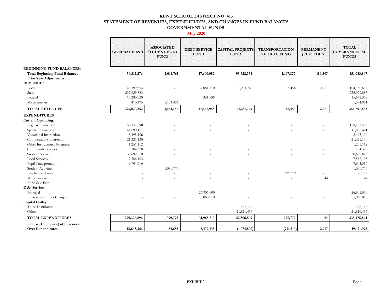#### **KENT SCHOOL DISTRICT NO. 415 STATEMENT OF REVENUES, EXPENDITURES, AND CHANGES IN FUND BALANCES GOVERNMENTAL FUNDS**

#### **May 2020**

|                                                             | <b>GENERAL FUND</b> | <b>ASSOCIATED</b><br><b>STUDENT BODY</b><br><b>FUND</b> | <b>DEBT SERVICE</b><br><b>FUND</b> | <b>CAPITAL PROJECTS</b><br><b>FUND</b> | <b>TRANSPORTATION</b><br><b>VEHICLE FUND</b> | <b>PERMANENT</b><br>(REEPLOEG) | <b>TOTAL</b><br><b>GOVERNMENTAL</b><br><b>FUNDS</b> |
|-------------------------------------------------------------|---------------------|---------------------------------------------------------|------------------------------------|----------------------------------------|----------------------------------------------|--------------------------------|-----------------------------------------------------|
| <b>BEGINNING FUND BALANCES:</b>                             |                     |                                                         |                                    |                                        |                                              |                                |                                                     |
| <b>Total Beginning Fund Balances</b>                        | 36,312,276          | 2,014,761                                               | 17,600,052                         | 93,732,334                             | 1,197,877                                    | 186,547                        | 151,043,847                                         |
| <b>Prior Year Adjustments</b>                               |                     |                                                         |                                    |                                        |                                              |                                |                                                     |
| <b>REVENUES</b>                                             |                     |                                                         |                                    |                                        |                                              |                                |                                                     |
| Local                                                       | 46,399,354          |                                                         | 37,081,110                         | 21,231,749                             | 15,456                                       | 2,961                          | 104,730,630                                         |
| State                                                       | 232,929,883         |                                                         |                                    |                                        |                                              |                                | 232,929,883                                         |
| Federal                                                     | 15,280,520          |                                                         | 361,838                            |                                        |                                              |                                | 15,642,358                                          |
| Miscellaneous                                               | 410,495             | 1,184,456                                               | $\sim$                             |                                        |                                              | $\sim$                         | 1,594,951                                           |
| <b>TOTAL REVENUES</b>                                       | 295,020,252         | 1,184,456                                               | 37,442,948                         | 21,231,749                             | 15,456                                       | 2,961                          | 354,897,822                                         |
| <b>EXPENDITURES</b>                                         |                     |                                                         |                                    |                                        |                                              |                                |                                                     |
| <b>Current Operating:</b>                                   |                     |                                                         |                                    |                                        |                                              |                                |                                                     |
| Regular Instruction                                         | 158, 131, 590       |                                                         |                                    |                                        |                                              |                                | 158,131,590                                         |
| Special Instruction                                         | 41,890,421          |                                                         |                                    |                                        |                                              |                                | 41,890,421                                          |
| Vocational Instruction                                      | 8,495,196           |                                                         |                                    |                                        |                                              |                                | 8,495,196                                           |
| Compensatory Instruction                                    | 21,321,130          |                                                         |                                    |                                        |                                              |                                | 21,321,130                                          |
| Other Instructional Programs                                | 1,251,112           |                                                         |                                    |                                        |                                              |                                | 1,251,112                                           |
| Community Services                                          | 104,328             |                                                         |                                    |                                        |                                              |                                | 104,328                                             |
| <b>Support Services</b>                                     | 30,692,610          |                                                         |                                    |                                        |                                              |                                | 30,692,610                                          |
| Food Services                                               | 7,586,193           |                                                         |                                    |                                        |                                              |                                | 7,586,193                                           |
| Pupil Transportation                                        | 9,904,316           |                                                         |                                    |                                        |                                              |                                | 9,904,316                                           |
| <b>Student Activities</b>                                   |                     | 1,099,773                                               |                                    |                                        |                                              |                                | 1,099,773                                           |
| Purchase of buses                                           |                     |                                                         |                                    |                                        | 726,772                                      |                                | 726,772                                             |
| Miscellaneous                                               |                     |                                                         |                                    |                                        |                                              | 44                             | 44                                                  |
| <b>Bond Sale Fees</b>                                       |                     |                                                         |                                    |                                        |                                              | ä,                             |                                                     |
| <b>Debt Service:</b>                                        |                     |                                                         |                                    |                                        |                                              |                                |                                                     |
| Principal                                                   |                     |                                                         | 26,905,000                         |                                        |                                              |                                | 26,905,000                                          |
| Interest and Other Charges                                  |                     |                                                         | 5,060,810                          |                                        |                                              |                                | 5,060,810                                           |
| Capital Outlay:                                             |                     |                                                         |                                    |                                        |                                              |                                |                                                     |
| To be Distributed                                           |                     |                                                         |                                    | 496,116                                |                                              |                                | 496,116                                             |
| Other                                                       |                     |                                                         |                                    | 21,810,433                             |                                              | $\sim$                         | 21,810,433                                          |
| <b>TOTAL EXPENDITURES</b>                                   | 279,376,896         | 1,099,773                                               | 31,965,810                         | 22,306,549                             | 726,772                                      | 44                             | 335,475,844                                         |
| Excess (Deficiency) of Revenues<br><b>Over Expenditures</b> | 15,643,356          | 84,683                                                  | 5,477,138                          | (1,074,800)                            | (711, 316)                                   | 2,917                          | 19,421,978                                          |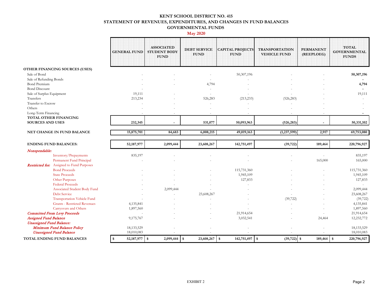#### **KENT SCHOOL DISTRICT NO. 415 STATEMENT OF REVENUES, EXPENDITURES, AND CHANGES IN FUND BALANCES GOVERNMENTAL FUNDS**

#### **May 2020**

|                                                              | <b>GENERAL FUND</b>                | <b>ASSOCIATED</b><br><b>STUDENT BODY</b><br><b>FUND</b> | <b>DEBT SERVICE</b><br><b>FUND</b> | <b>CAPITAL PROJECTS</b><br><b>FUND</b> | <b>TRANSPORTATION</b><br><b>VEHICLE FUND</b> | <b>PERMANENT</b><br>(REEPLOEG) | <b>TOTAL</b><br><b>GOVERNMENTAL</b><br><b>FUNDS</b> |
|--------------------------------------------------------------|------------------------------------|---------------------------------------------------------|------------------------------------|----------------------------------------|----------------------------------------------|--------------------------------|-----------------------------------------------------|
| OTHER FINANCING SOURCES (USES)                               |                                    |                                                         |                                    |                                        |                                              |                                |                                                     |
| Sale of Bond                                                 |                                    |                                                         |                                    | 50,307,196                             |                                              |                                | 50,307,196                                          |
| Sale of Refunding Bonds                                      |                                    |                                                         |                                    |                                        |                                              |                                |                                                     |
| <b>Bond Premium</b>                                          |                                    |                                                         | 4,794                              |                                        |                                              |                                | 4,794                                               |
| <b>Bond Discount</b>                                         |                                    |                                                         |                                    |                                        |                                              |                                |                                                     |
| Sale of Surplus Equipment                                    | 19,111                             |                                                         |                                    |                                        |                                              |                                | 19,111                                              |
| Transfers                                                    | 213,234                            |                                                         | 526,283                            | (213, 233)                             | (526, 283)                                   |                                |                                                     |
| Transfer to Escrow                                           |                                    |                                                         |                                    | ٠                                      |                                              |                                |                                                     |
| Others                                                       |                                    |                                                         |                                    |                                        |                                              |                                |                                                     |
| Long-Term Financing                                          |                                    |                                                         | $\sim$                             |                                        |                                              |                                |                                                     |
| TOTAL OTHER FINANCING<br><b>SOURCES AND USES</b>             | 232,345                            |                                                         | 531,077                            | 50,093,963                             | (526, 283)                                   |                                | 50,331,102                                          |
|                                                              |                                    | $\blacksquare$                                          |                                    |                                        |                                              | $\overline{\phantom{a}}$       |                                                     |
| NET CHANGE IN FUND BALANCE                                   | 15,875,701                         | 84,683                                                  | 6,008,215                          | 49,019,163                             | (1,237,599)                                  | 2,917                          | 69,753,080                                          |
| <b>ENDING FUND BALANCES:</b>                                 | 52, 187, 977                       | 2,099,444                                               | 23,608,267                         | 142,751,497                            | (39, 722)                                    | 189,464                        | 220,796,927                                         |
| Nonspendable:                                                |                                    |                                                         |                                    |                                        |                                              |                                |                                                     |
| Inventory/Prepayments                                        | 835,197                            |                                                         |                                    |                                        |                                              |                                | 835,197                                             |
| Permanent Fund Principal                                     |                                    |                                                         |                                    |                                        |                                              | 165,000                        | 165,000                                             |
| <b>Restricted for:</b> Assigned to Fund Purposes             |                                    |                                                         |                                    |                                        |                                              |                                |                                                     |
| <b>Bond Proceeds</b>                                         |                                    |                                                         |                                    | 115,731,360                            |                                              |                                | 115,731,360                                         |
| <b>State Proceeds</b>                                        |                                    |                                                         |                                    | 1,945,109                              |                                              |                                | 1,945,109                                           |
| Other Purposes                                               |                                    |                                                         |                                    | 127,833                                |                                              |                                | 127,833                                             |
| <b>Federal Proceeds</b>                                      |                                    |                                                         |                                    |                                        |                                              |                                |                                                     |
| Associated Student Body Fund                                 |                                    | 2,099,444                                               |                                    |                                        |                                              |                                | 2,099,444                                           |
| <b>Debt Service</b>                                          |                                    |                                                         | 23,608,267                         |                                        |                                              |                                | 23,608,267                                          |
| Transportation Vehicle Fund                                  |                                    |                                                         |                                    |                                        | (39, 722)                                    |                                | (39, 722)                                           |
| <b>Grants - Restricted Revenues</b>                          | 4,135,841                          |                                                         |                                    |                                        |                                              |                                | 4,135,841                                           |
| Carryovers and Others                                        | 1,897,560                          |                                                         |                                    |                                        |                                              |                                | 1,897,560                                           |
|                                                              | $\sim$                             |                                                         |                                    | 21,914,654                             |                                              |                                | 21,914,654                                          |
| <b>Committed From Levy Proceeds</b>                          |                                    |                                                         |                                    |                                        |                                              |                                |                                                     |
| <b>Assigned Fund Balance</b>                                 | 9,175,767                          |                                                         |                                    | 3,032,541                              |                                              | 24,464                         | 12,232,772                                          |
| <b>Unassigned Fund Balance:</b>                              |                                    |                                                         |                                    |                                        |                                              |                                |                                                     |
| Minimum Fund Balance Policy                                  | 18, 133, 529                       |                                                         |                                    |                                        |                                              |                                | 18, 133, 529                                        |
| <b>Unassigned Fund Balance</b><br>TOTAL ENDING FUND BALANCES | 18,010,083<br>52, 187, 977<br>- \$ | $\boldsymbol{\mathsf{s}}$<br>2,099,444                  | 23,608,267<br>l \$                 | $\sqrt{3}$<br>142,751,497              | $(39, 722)$ \$<br>$\vert$ s                  | 189,464                        | 18,010,083<br>220,796,927<br>\$                     |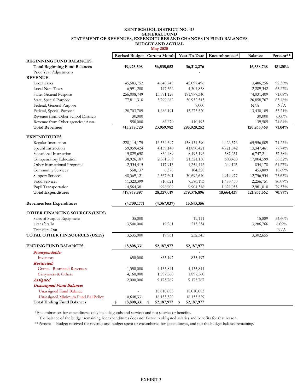#### **KENT SCHOOL DISTRICT NO. 415 STATEMENT OF REVENUES, EXPENDITURES AND CHANGES IN FUND BALANCES BUDGET AND ACTUAL May 2020 GENERAL FUND**

|                                       |                       | 1914 ZUZU            |                    |               |                |                  |
|---------------------------------------|-----------------------|----------------------|--------------------|---------------|----------------|------------------|
|                                       | <b>Revised Budget</b> | <b>Current Month</b> | Year-To-Date       | Encumbrances* | <b>Balance</b> | Percent**        |
| <b>BEGINNING FUND BALANCES:</b>       |                       |                      |                    |               |                |                  |
| <b>Total Beginning Fund Balances</b>  | 19,973,508            | 56,535,052           | 36, 312, 276       |               | 16,338,768     | 181.80%          |
| Prior Year Adjustments                |                       |                      |                    |               |                |                  |
| <b>REVENUE</b>                        |                       |                      |                    |               |                |                  |
| Local Taxes                           | 45,583,752            | 4,648,749            | 42,097,496         |               | 3,486,256      | 92.35%           |
| Local Non-Taxes                       | 6,591,200             | 147,562              | 4,301,858          |               | 2,289,342      | 65.27%           |
| State, General Purpose                | 256,008,749           | 13,591,128           | 181,977,340        |               | 74,031,409     | 71.08%           |
| State, Special Purpose                | 77,811,310            | 3,799,682            | 50,952,543         |               | 26,858,767     | 65.48%           |
| Federal, General Purpose              | $\overline{a}$        | $\overline{a}$       | 7,000              |               | N/A            | N/A              |
| Federal, Special Purpose              | 28,703,709            | 1,686,191            | 15,273,520         |               | 13,430,189     | 53.21%           |
| Revenue from Other School Districts   | 30,000                |                      |                    |               | 30,000         | $0.00\%$         |
| Revenue from Other agencies/Assn.     | 550,000               | 86,670               | 410,495            |               | 139,505        | 74.64%           |
| <b>Total Revenues</b>                 | 415,278,720           | 23,959,982           | 295,020,252        |               | 120,265,468    | 71.04%           |
| <b>EXPENDITURES</b>                   |                       |                      |                    |               |                |                  |
| Regular Instruction                   | 228,114,175           | 16,534,397           | 158, 131, 590      | 4,426,576     | 65,556,009     | 71.26%           |
| Special Instruction                   | 59,959,424            | 4,159,140            | 41,890,421         |               | 13,347,461     | 77.74%           |
| Vocational Instruction                |                       |                      |                    | 4,721,542     |                |                  |
|                                       | 15,829,658            | 832,489              | 8,495,196          | 587,251       | 6,747,211      | 57.38%           |
| Compensatory Education                | 38,926,187            | 2,301,869            | 21,321,130         | 600,458       | 17,004,599     | 56.32%<br>64.27% |
| Other Instructional Programs          | 2,334,415             | 117,915              | 1,251,112          | 249,125       | 834,178        |                  |
| Community Services                    | 558,137               | 6,378                | 104,328            |               | 453,809        | 18.69%           |
| <b>Support Services</b>               | 48,369,121            | 2,567,601            | 30,692,610         | 4,919,977     | 12,756,534     | 73.63%           |
| Food Services                         | 11,323,399            | 810,321              | 7,586,193          | 1,480,455     | 2,256,751      | 80.07%           |
| Pupil Transportation                  | 14,564,381            | 996,909              | 9,904,316          | 1,679,055     | 2,981,010      | 79.53%           |
| <b>Total Expenditures</b>             | 419,978,897           | 28,327,019           | 279,376,896        | 18,664,439    | 121,937,562    | 70.97%           |
| <b>Revenues less Expenditures</b>     | (4,700,177)           | (4,367,037)          | 15,643,356         |               |                |                  |
| OTHER FINANCING SOURCES (USES)        |                       |                      |                    |               |                |                  |
| Sales of Surplus Equipment            | 35,000                |                      | 19,111             |               | 15,889         | 54.60%           |
| Transfers In                          | 3,500,000             | 19,961               | 213,234            |               | 3,286,766      | 6.09%            |
| Transfers Out                         |                       |                      |                    |               |                | N/A              |
| <b>TOTAL OTHER FIN.SOURCES (USES)</b> | 3,535,000             | 19,961               | 232,345            |               | 3,302,655      |                  |
| <b>ENDING FUND BALANCES:</b>          | 18,808,331            | 52, 187, 977         | 52, 187, 977       |               |                |                  |
| Nonspendable:                         |                       |                      |                    |               |                |                  |
| Inventory                             | 650,000               | 835,197              | 835,197            |               |                |                  |
| Restricted:                           |                       |                      |                    |               |                |                  |
| <b>Grants - Restricted Revenues</b>   | 1,350,000             | 4,135,841            | 4,135,841          |               |                |                  |
| Carryovers & Others                   | 4,160,000             | 1,897,560            | 1,897,560          |               |                |                  |
| Assigned                              | 2,000,000             | 9,175,767            | 9,175,767          |               |                |                  |
| <b>Unassigned Fund Balance:</b>       |                       |                      |                    |               |                |                  |
| Unassigned Fund Balance               |                       | 18,010,083           | 18,010,083         |               |                |                  |
| Unassigned Minimum Fund Bal Policy    | 10,648,331            | 18, 133, 529         | 18, 133, 529       |               |                |                  |
| <b>Total Ending Fund Balances</b>     | \$<br>18,808,331      | \$<br>52,187,977     | \$<br>52, 187, 977 |               |                |                  |

\*Encumbrances for expenditures only include goods and services and not salaries or benefits.

The balance of the budget remaining for expenditures does not factor in obligated salaries and benefits for that reason.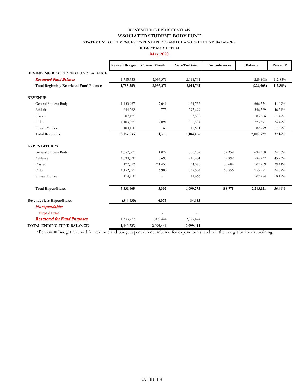#### **KENT SCHOOL DISTRICT NO. 415 STATEMENT OF REVENUES, EXPENDITURES AND CHANGES IN FUND BALANCES ASSOCIATED STUDENT BODY FUND**

#### **BUDGET AND ACTUAL May 2020**

|                                                | <b>Revised Budget</b> | <b>Current Month</b> | Year-To-Date | Encumbrances | <b>Balance</b> | Percent* |
|------------------------------------------------|-----------------------|----------------------|--------------|--------------|----------------|----------|
| <b>BEGINNING RESTRICTED FUND BALANCE</b>       |                       |                      |              |              |                |          |
| <b>Restricted Fund Balance</b>                 | 1,785,353             | 2,093,371            | 2,014,761    |              | (229, 408)     | 112.85%  |
| <b>Total Beginning Restricted Fund Balance</b> | 1,785,353             | 2,093,371            | 2,014,761    |              | (229, 408)     | 112.85%  |
| <b>REVENUE</b>                                 |                       |                      |              |              |                |          |
| General Student Body                           | 1,130,967             | 7,641                | 464,733      |              | 666,234        | 41.09%   |
| Athletics                                      | 644,268               | 775                  | 297,699      |              | 346,569        | 46.21%   |
| Classes                                        | 207,425               |                      | 23,839       |              | 183,586        | 11.49%   |
| Clubs                                          | 1,103,925             | 2,891                | 380,534      |              | 723,391        | 34.47%   |
| Private Monies                                 | 100,450               | 68                   | 17,651       |              | 82,799         | 17.57%   |
| <b>Total Revenues</b>                          | 3,187,035             | 11,375               | 1,184,456    |              | 2,002,579      | 37.16%   |
| <b>EXPENDITURES</b>                            |                       |                      |              |              |                |          |
| General Student Body                           | 1,057,801             | 1,079                | 306,102      | 57,339       | 694,360        | 34.36%   |
| Athletics                                      | 1,030,030             | 8,695                | 415,401      | 29,892       | 584,737        | 43.23%   |
| Classes                                        | 177,013               | (11, 452)            | 34,070       | 35,684       | 107,259        | 39.41%   |
| Clubs                                          | 1,152,371             | 6,980                | 332,534      | 65,856       | 753,981        | 34.57%   |
| Private Monies                                 | 114,450               |                      | 11,666       |              | 102,784        | 10.19%   |
| <b>Total Expenditures</b>                      | 3,531,665             | 5,302                | 1,099,773    | 188,771      | 2,243,121      | 36.49%   |
| <b>Revenues less Expenditures</b>              | (344, 630)            | 6,073                | 84,683       |              |                |          |
| Nonspendable:                                  |                       |                      |              |              |                |          |
| Prepaid Items                                  |                       |                      |              |              |                |          |
| <b>Restricted for Fund Purposes</b>            | 1,533,757             | 2,099,444            | 2,099,444    |              |                |          |
| TOTAL ENDING FUND BALANCE                      | 1,440,723             | 2,099,444            | 2,099,444    |              |                |          |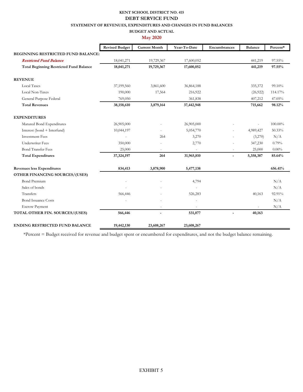#### **KENT SCHOOL DISTRICT NO. 415 STATEMENT OF REVENUES, EXPENDITURES AND CHANGES IN FUND BALANCES BUDGET AND ACTUAL DEBT SERVICE FUND**

#### **May 2020**

|                                                | <b>Revised Budget</b> | <b>Current Month</b> | Year-To-Date | Encumbrances   | <b>Balance</b> | Percent* |
|------------------------------------------------|-----------------------|----------------------|--------------|----------------|----------------|----------|
| <b>BEGINNING RESTRICTED FUND BALANCE:</b>      |                       |                      |              |                |                |          |
| <b>Restricted Fund Balance</b>                 | 18,041,271            | 19,729,367           | 17,600,052   |                | 441,219        | 97.55%   |
| <b>Total Beginning Restricted Fund Balance</b> | 18,041,271            | 19,729,367           | 17,600,052   |                | 441,219        | 97.55%   |
| <b>REVENUE</b>                                 |                       |                      |              |                |                |          |
| <b>Local Taxes</b>                             | 37,199,560            | 3,861,600            | 36,864,188   |                | 335,372        | 99.10%   |
| Local Non-Taxes                                | 190,000               | 17,564               | 216,922      |                | (26, 922)      | 114.17%  |
| General Purpose Federal                        | 769,050               |                      | 361,838      |                | 407,212        | 47.05%   |
| <b>Total Revenues</b>                          | 38,158,610            | 3,879,164            | 37,442,948   |                | 715,662        | 98.12%   |
| <b>EXPENDITURES</b>                            |                       |                      |              |                |                |          |
| Matured Bond Expenditures                      | 26,905,000            |                      | 26,905,000   |                |                | 100.00%  |
| Interest (bond + Interfund)                    | 10,044,197            |                      | 5,054,770    |                | 4,989,427      | 50.33%   |
| <b>Investment Fees</b>                         |                       | 264                  | 3,270        |                | (3,270)        | N/A      |
| <b>Underwriter Fees</b>                        | 350,000               |                      | 2,770        |                | 347,230        | 0.79%    |
| <b>Bond Transfer Fees</b>                      | 25,000                |                      |              |                | 25,000         | $0.00\%$ |
| <b>Total Expenditures</b>                      | 37,324,197            | 264                  | 31,965,810   | $\overline{a}$ | 5,358,387      | 85.64%   |
| <b>Revenues less Expenditures</b>              | 834,413               | 3,878,900            | 5,477,138    |                |                | 656.41%  |
| OTHER FINANCING SOURCES/(USES)                 |                       |                      |              |                |                |          |
| <b>Bond Premium</b>                            |                       |                      | 4,794        |                |                | N/A      |
| Sales of bonds                                 |                       |                      |              |                |                | N/A      |
| Transfers                                      | 566,446               |                      | 526,283      |                | 40,163         | 92.91%   |
| <b>Bond Issuance Costs</b>                     |                       |                      |              |                |                | N/A      |
| <b>Escrow Payment</b>                          |                       | $\equiv$             | $\sim$       |                |                | N/A      |
| TOTAL OTHER FIN. SOURCES/(USES)                | 566,446               |                      | 531,077      | $\overline{a}$ | 40,163         |          |
| <b>ENDING RESTRICTED FUND BALANCE</b>          | 19,442,130            | 23,608,267           | 23,608,267   |                |                |          |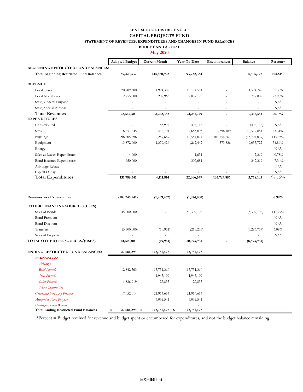#### **KENT SCHOOL DISTRICT NO. 415 STATEMENT OF REVENUES, EXPENDITURES AND CHANGES IN FUND BALANCES BUDGET AND ACTUAL CAPITAL PROJECTS FUND**

**May 2020**

|                                                 | <b>Adopted Budget</b>    | <b>Current Month</b>     | Year-To-Date | Encumbrances             | <b>Balance</b>           | Percent* |
|-------------------------------------------------|--------------------------|--------------------------|--------------|--------------------------|--------------------------|----------|
| <b>BEGINNING RESTRICTED FUND BALANCES:</b>      |                          |                          |              |                          |                          |          |
| <b>Total Beginning Restricted Fund Balances</b> | 89,426,537               | 144,680,922              | 93,732,334   |                          | 4,305,797                | 104.81%  |
| <b>REVENUE</b>                                  |                          |                          |              |                          |                          |          |
| <b>Local Taxes</b>                              | 20,789,300               | 1,994,389                | 19,194,551   |                          | 1,594,749                | 92.33%   |
| Local Non-Taxes                                 | 2,755,000                | 207,963                  | 2,037,198    |                          | 717,802                  | 73.95%   |
| State, General Purpose                          |                          |                          | ٠            | ٠                        | $\overline{\phantom{a}}$ | N/A      |
| State, Special Purpose                          |                          |                          | ٠            | $\overline{\phantom{a}}$ |                          | N/A      |
| <b>Total Revenues</b>                           | 23,544,300               | 2,202,352                | 21, 231, 749 | ۰                        | 2,312,551                | 90.18%   |
| <b>EXPENDITURES</b>                             |                          |                          |              |                          |                          |          |
| Undistributed                                   |                          | 55,997                   | 496,116      |                          | (496, 116)               | N/A      |
| <b>Sites</b>                                    | 18,657,845               | 416,701                  | 4,683,805    | 3,396,189                | 10,577,851               | 43.31%   |
| <b>Buildings</b>                                | 98,605,696               | 2,259,689                | 12,554,874   | 101,754,861              | (15,704,039)             | 115.93%  |
| Equipment                                       | 13,872,000               | 1,379,426                | 4,262,442    | 573,836                  | 9,035,722                | 34.86%   |
| Energy                                          |                          |                          |              |                          | $\overline{\phantom{a}}$ | N/A      |
| Sales & Leases Expenditures                     | 4,000                    |                          | 1,631        | ٠                        | 2,369                    | 40.78%   |
| Bond Issuance Expenditures                      | 650,000                  |                          | 307,681      |                          | 342,319                  | 47.34%   |
| Arbitrage Rebate                                | $\overline{\phantom{a}}$ | $\overline{\phantom{a}}$ | $\sim$       | ٠                        | $\overline{\phantom{a}}$ | N/A      |
| Capital Outlay                                  |                          |                          |              |                          | ٠                        | N/A      |
| <b>Total Expenditures</b>                       | 131,789,541              | 4,111,814                | 22,306,549   | 105,724,886              | 3,758,105                | 97.15%   |

| <b>Revenues less Expenditures</b>            | (108, 245, 241)        | (1,909,462)              | (1,074,800) |                          | $0.99\%$ |
|----------------------------------------------|------------------------|--------------------------|-------------|--------------------------|----------|
| OTHER FINANCING SOURCES/(USES)               |                        |                          |             |                          |          |
| Sales of Bonds                               | 45,000,000             |                          | 50,307,196  | (5,307,196)              | 111.79%  |
| <b>Bond Premium</b>                          |                        |                          |             | ٠                        | N/A      |
| <b>Bond Discount</b>                         |                        |                          |             |                          | N/A      |
| Transfers                                    | (3,500,000)            | (19,961)                 | (213, 233)  | (3, 286, 767)            | 6.09%    |
| Sales of Property                            |                        | $\overline{\phantom{a}}$ |             | $\overline{\phantom{a}}$ | N/A      |
| TOTAL OTHER FIN. SOURCES/(USES)              | 41,500,000             | (19,961)                 | 50,093,963  | (8,593,963)              |          |
| <b>ENDING RESTRICTED FUND BALANCES:</b>      | 22,681,296             | 142,751,497              | 142,751,497 |                          |          |
| <b>Restricted For:</b>                       |                        |                          |             |                          |          |
| Arbitrage                                    |                        |                          |             |                          |          |
| <b>Bond Proceeds</b>                         | 12,842,363             | 115,731,360              | 115,731,360 |                          |          |
| <b>State Proceeds</b>                        |                        | 1,945,109                | 1,945,109   |                          |          |
| <b>Other Proceeds</b>                        | 1,886,919              | 127,833                  | 127,833     |                          |          |
| <b>School Construction</b>                   |                        | $\overline{\phantom{a}}$ |             |                          |          |
| Committed from Levy Proceeds                 | 7,952,014              | 21,914,654               | 21,914,654  |                          |          |
| <b>Assigned to Fund Purposes</b>             |                        | 3,032,541                | 3,032,541   |                          |          |
| <b>Unassigned Fund Balance</b>               |                        |                          |             |                          |          |
| <b>Total Ending Restricted Fund Balances</b> | 22,681,296<br>\$<br>\$ | 142,751,497<br>\$        | 142,751,497 |                          |          |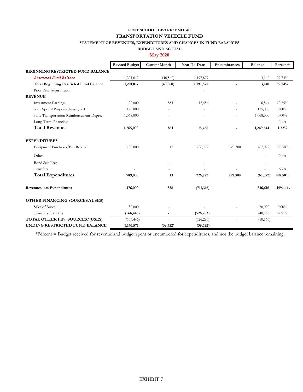## **KENT SCHOOL DISTRICT NO. 415 TRANSPORTATION VEHICLE FUND**

#### **STATEMENT OF REVENUES, EXPENDITURES AND CHANGES IN FUND BALANCES**

#### **BUDGET AND ACTUAL**

#### **May 2020**

|                                                | <b>Revised Budget</b> | <b>Current Month</b> | Year-To-Date | Encumbrances             | <b>Balance</b> | Percent*   |
|------------------------------------------------|-----------------------|----------------------|--------------|--------------------------|----------------|------------|
| <b>BEGINNING RESTRICTED FUND BALANCE:</b>      |                       |                      |              |                          |                |            |
| <b>Restricted Fund Balance</b>                 | 1,201,017             | (40, 560)            | 1,197,877    |                          | 3,140          | 99.74%     |
| <b>Total Beginning Restricted Fund Balance</b> | 1,201,017             | (40, 560)            | 1,197,877    |                          | 3,140          | 99.74%     |
| Prior Year Adjustments                         |                       |                      |              |                          |                |            |
| <b>REVENUE</b>                                 |                       |                      |              |                          |                |            |
| <b>Investment Earnings</b>                     | 22,000                | 851                  | 15,456       |                          | 6,544          | 70.25%     |
| State Special Purpose-Unassigned               | 175,000               |                      |              |                          | 175,000        | $0.00\%$   |
| State Transportation Reimbursement-Deprec.     | 1,068,000             |                      |              |                          | 1,068,000      | $0.00\%$   |
| Long-Term Financing                            |                       |                      |              |                          |                | N/A        |
| <b>Total Revenues</b>                          | 1,265,000             | 851                  | 15,456       | $\overline{\phantom{0}}$ | 1,249,544      | 1.22%      |
| <b>EXPENDITURES</b>                            |                       |                      |              |                          |                |            |
| Equipment Purchases/Bus Rebuild                | 789,000               | 13                   | 726,772      | 129,300                  | (67,072)       | 108.50%    |
| Other                                          |                       |                      |              |                          |                | N/A        |
| <b>Bond Sale Fees</b>                          |                       |                      |              |                          |                |            |
| Transfers                                      |                       |                      |              |                          |                | N/A        |
| <b>Total Expenditures</b>                      | 789,000               | 13                   | 726,772      | 129,300                  | (67,072)       | 108.50%    |
| <b>Revenues less Expenditures</b>              | 476,000               | 838                  | (711, 316)   |                          | 1,316,616      | $-149.44%$ |
| OTHER FINANCING SOURCES/(USES)                 |                       |                      |              |                          |                |            |
| Sales of Buses                                 | 30,000                |                      |              |                          | 30,000         | $0.00\%$   |
| Transfers In/(Out)                             | (566, 446)            |                      | (526, 283)   |                          | (40, 163)      | 92.91%     |
| TOTAL OTHER FIN. SOURCES/(USES)                | (536, 446)            |                      | (526, 283)   |                          | (10, 163)      |            |
| <b>ENDING RESTRICTED FUND BALANCE</b>          | 1,140,571             | (39, 722)            | (39, 722)    |                          |                |            |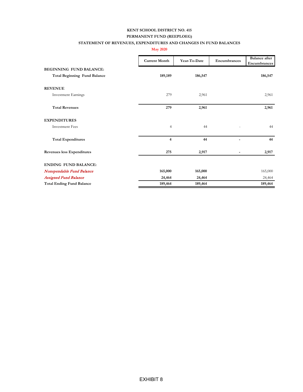#### **KENT SCHOOL DISTRICT NO. 415 PERMANENT FUND (REEPLOEG)**

#### **STATEMENT OF REVENUES, EXPENDITURES AND CHANGES IN FUND BALANCES**

**May 2020**

|                                     | <b>Current Month</b> | Year-To-Date | Encumbrances | <b>Balance</b> after<br>Encumbrances |
|-------------------------------------|----------------------|--------------|--------------|--------------------------------------|
| <b>BEGINNING FUND BALANCE:</b>      |                      |              |              |                                      |
| <b>Total Beginning Fund Balance</b> | 189,189              | 186,547      |              | 186,547                              |
| <b>REVENUE</b>                      |                      |              |              |                                      |
| <b>Investment Earnings</b>          | 279                  | 2,961        |              | 2,961                                |
| <b>Total Revenues</b>               | 279                  | 2,961        |              | 2,961                                |
| <b>EXPENDITURES</b>                 |                      |              |              |                                      |
| <b>Investment Fees</b>              | $\overline{4}$       | 44           |              | 44                                   |
| <b>Total Expenditures</b>           | $\overline{4}$       | 44           |              | 44                                   |
| <b>Revenues less Expenditures</b>   | 275                  | 2,917        |              | 2,917                                |
| <b>ENDING FUND BALANCE:</b>         |                      |              |              |                                      |
| Nonspendable Fund Balance           | 165,000              | 165,000      |              | 165,000                              |
| <b>Assigned Fund Balance</b>        | 24,464               | 24,464       |              | 24,464                               |
| <b>Total Ending Fund Balance</b>    | 189,464              | 189,464      |              | 189,464                              |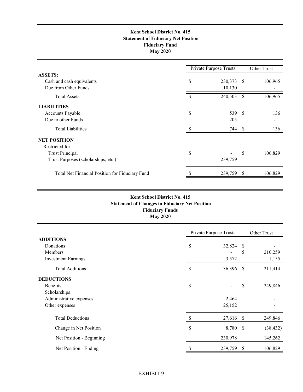#### **Kent School District No. 415 Statement of Fiduciary Net Position Fiduciary Fund May 2020**

|                                                 | <b>Private Purpose Trusts</b> |         |              | Other Trust |  |
|-------------------------------------------------|-------------------------------|---------|--------------|-------------|--|
| <b>ASSETS:</b>                                  |                               |         |              |             |  |
| Cash and cash equivalents                       | \$                            | 230,373 | -S           | 106,965     |  |
| Due from Other Funds                            |                               | 10,130  |              |             |  |
| <b>Total Assets</b>                             |                               | 240,503 | \$           | 106,965     |  |
| <b>LIABILITIES</b>                              |                               |         |              |             |  |
| Accounts Payable                                | \$                            | 539     | -S           | 136         |  |
| Due to other Funds                              |                               | 205     |              |             |  |
| <b>Total Liabilities</b>                        | S                             | 744     | -S           | 136         |  |
| <b>NET POSITION</b>                             |                               |         |              |             |  |
| Restricted for:                                 |                               |         |              |             |  |
| <b>Trust Principal</b>                          | \$                            |         | S            | 106,829     |  |
| Trust Purposes (scholarships, etc.)             |                               | 239,759 |              |             |  |
| Total Net Financial Position for Fiduciary Fund |                               | 239,759 | <sup>S</sup> | 106,829     |  |
|                                                 |                               |         |              |             |  |

#### **Fiduciary Funds May 2020 Kent School District No. 415 Statement of Changes in Fiduciary Net Position**

|                            | Private Purpose Trusts |          |               |           |  |
|----------------------------|------------------------|----------|---------------|-----------|--|
|                            |                        |          | Other Trust   |           |  |
| <b>ADDITIONS</b>           |                        |          |               |           |  |
| Donations                  | \$                     | 32,824   | S             |           |  |
| Members                    |                        |          | \$            | 210,259   |  |
| <b>Investment Earnings</b> |                        | 3,572    |               | 1,155     |  |
| <b>Total Additions</b>     | \$                     | 36,396   | S.            | 211,414   |  |
| <b>DEDUCTIONS</b>          |                        |          |               |           |  |
| <b>Benefits</b>            | \$                     |          | \$            | 249,846   |  |
| Scholarships               |                        |          |               |           |  |
| Administrative expenses    |                        | 2,464    |               |           |  |
| Other expenses             |                        | 25,152   |               |           |  |
| <b>Total Deductions</b>    | \$                     | 27,616   | <sup>\$</sup> | 249,846   |  |
| Change in Net Position     | \$                     | 8,780 \$ |               | (38, 432) |  |
| Net Position - Beginning   |                        | 230,978  |               | 145,262   |  |
| Net Position - Ending      | S                      | 239,759  | \$            | 106,829   |  |

#### EXHIBIT 9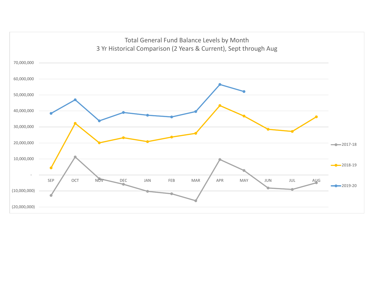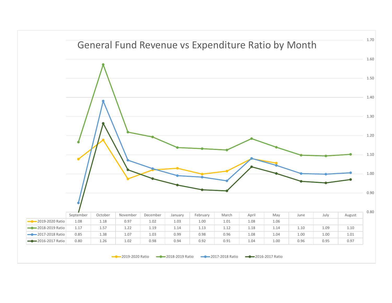